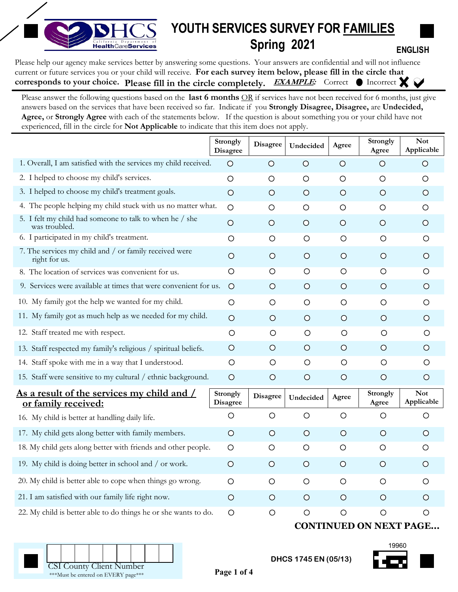

# **YOUTH SERVICES SURVEY FOR FAMILIES Spring 2021 ENGLISH**

Please help our agency make services better by answering some questions. Your answers are confidential and will not influence current or future services you or your child will receive. **For each survey item below, please fill in the circle that current or future services you or your child will receive. For each survey fiem below, please in m the circle that<br>
<b>corresponds to your choice.** Please fill in the circle completely. *EXAMPLE:* Correct • Incorrect  $\bullet$ 

Please answer the following questions based on the **last 6 months** OR if services have not been received for 6 months, just give answers based on the services that have been received so far. Indicate if you **Strongly Disagree, Disagree,** are **Undecided, Agree,** or **Strongly Agree** with each of the statements below. If the question is about something you or your child have not experienced, fill in the circle for **Not Applicable** to indicate that this item does not apply.

|                                                                          | Strongly<br><b>Disagree</b> | <b>Disagree</b> | Undecided | Agree   | Strongly<br>Agree | <b>Not</b><br>Applicable |
|--------------------------------------------------------------------------|-----------------------------|-----------------|-----------|---------|-------------------|--------------------------|
| 1. Overall, I am satisfied with the services my child received.          | $\circ$                     | $\bigcirc$      | $\circ$   | $\circ$ | $\circ$           | $\circ$                  |
| 2. I helped to choose my child's services.                               | $\circ$                     | O               | $\circ$   | $\circ$ | $\circ$           | $\circ$                  |
| 3. I helped to choose my child's treatment goals.                        | $\circ$                     | O               | $\circ$   | $\circ$ | $\circ$           | $\circ$                  |
| 4. The people helping my child stuck with us no matter what.             | O                           | $\circ$         | $\circ$   | O       | $\circ$           | O                        |
| 5. I felt my child had someone to talk to when he / she<br>was troubled. | $\circ$                     | $\circ$         | $\circ$   | $\circ$ | $\circ$           | $\circ$                  |
| 6. I participated in my child's treatment.                               | O                           | O               | O         | $\circ$ | $\circ$           | $\circ$                  |
| 7. The services my child and / or family received were<br>right for us.  | $\circ$                     | $\circ$         | $\circ$   | $\circ$ | $\circ$           | $\circ$                  |
| 8. The location of services was convenient for us.                       | $\circ$                     | O               | O         | $\circ$ | $\circ$           | $\circ$                  |
| 9. Services were available at times that were convenient for us.         | $\circ$                     | $\circ$         | $\circ$   | $\circ$ | $\circ$           | $\circ$                  |
| 10. My family got the help we wanted for my child.                       | $\circ$                     | $\circ$         | $\circ$   | $\circ$ | $\circ$           | $\circ$                  |
| 11. My family got as much help as we needed for my child.                | $\circ$                     | $\circ$         | $\circ$   | $\circ$ | $\circ$           | $\circ$                  |
| 12. Staff treated me with respect.                                       | $\circ$                     | $\circ$         | $\circ$   | $\circ$ | $\circ$           | O                        |
| 13. Staff respected my family's religious / spiritual beliefs.           | $\circ$                     | $\circ$         | $\circ$   | $\circ$ | $\circ$           | $\circ$                  |
| 14. Staff spoke with me in a way that I understood.                      | $\circ$                     | O               | O         | O       | $\circ$           | O                        |
| 15. Staff were sensitive to my cultural / ethnic background.             | $\circ$                     | $\circ$         | $\circ$   | $\circ$ | $\bigcirc$        | $\circ$                  |
| <u>As a result of the services my child and /</u><br>or family received: | Strongly<br><b>Disagree</b> | Disagree        | Undecided | Agree   | Strongly<br>Agree | <b>Not</b><br>Applicable |
| 16. My child is better at handling daily life.                           | $\circ$                     | O               | $\circ$   | O       | O                 | О                        |
| 17. My child gets along better with family members.                      | $\circ$                     | $\circ$         | $\circ$   | $\circ$ | $\circ$           | $\circ$                  |
| 18. My child gets along better with friends and other people.            | O                           | O               | O         | $\circ$ | $\circ$           | O                        |
| 19. My child is doing better in school and / or work.                    | $\circ$                     | $\circ$         | $\circ$   | $\circ$ | $\circ$           | $\circ$                  |
| 20. My child is better able to cope when things go wrong.                | O                           | O               | O         | O       | $\circ$           | $\circ$                  |
| 21. I am satisfied with our family life right now.                       | $\circ$                     | $\circ$         | $\circ$   | $\circ$ | $\circ$           | $\circ$                  |
| 22. My child is better able to do things he or she wants to do.          | O                           | $\circ$         | $\circ$   | $\circ$ | $\circ$           | $\circ$                  |

#### **CONTINUED ON NEXT PAGE...**



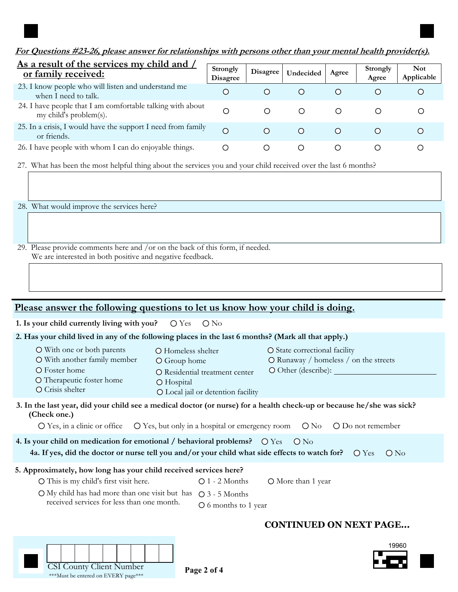#### **For Questions #23-26, please answer for relationships with persons other than your mental health provider(s). As a result of the services my child and / Strongly Strongly Not Disagree Undecided Agree or family received: Disagree Agree Applicable** 23. I know people who will listen and understand me  $\circ$  $\Omega$  $\bigcirc$  $\Omega$  $\Omega$  $\circ$ when I need to talk. 24. I have people that I am comfortable talking with about  $\bigcirc$  $\bigcirc$  $\bigcirc$  $\bigcirc$  $\bigcirc$  $\circ$  my child's problem(s). 25. In a crisis, I would have the support I need from family  $\circ$  $\bigcirc$  $\circ$  $\circ$  $\bigcirc$  $\circ$ or friends. 26. I have people with whom I can do enjoyable things.  $\circ$  $\circ$  $\circ$  $\circ$  $\circ$  $\circ$ 27. What has been the most helpful thing about the services you and your child received over the last 6 months? 28. What would improve the services here?

29. Please provide comments here and /or on the back of this form, if needed. We are interested in both positive and negative feedback.

#### **Please answer the following questions to let us know how your child is doing.**

| 1. Is your child currently living with you? | $OYes$ $ONo$ |  |  |
|---------------------------------------------|--------------|--|--|
|---------------------------------------------|--------------|--|--|

#### **2. Has your child lived in any of the following places in the last 6 months? (Mark all that apply.)**

With one or both parents With another family member O Foster home Therapeutic foster home O Crisis shelter Homeless shelter Group home O Residential treatment center O Hospital Local jail or detention facility O State correctional facility Runaway / homeless / on the streets O Other (describe):

#### **3. In the last year, did your child see a medical doctor (or nurse) for a health check-up or because he/she was sick? (Check one.)**

**4.** Is your child on medication for emotional / behavioral problems?  $\circ$   $\circ$  Yes  $\circ$   $\circ$  No **4a. If yes, did the doctor or nurse tell you and/or your child what side effects to watch for?**  $\bigcirc$  Yes  $\bigcirc$  No

#### **5. Approximately, how long has your child received services here?**

- $O$  This is my child's first visit here.  $O$  1 2 Months
	-
	- My child has had more than one visit but has  $\circ$  3 5 Months 6 months to 1 year received services for less than one month.

## **CONTINUED ON NEXT PAGE...**

More than 1 year



**Page 2 of 4** CSI County Client Number \*\*\*Must be entered on EVERY page\*\*\*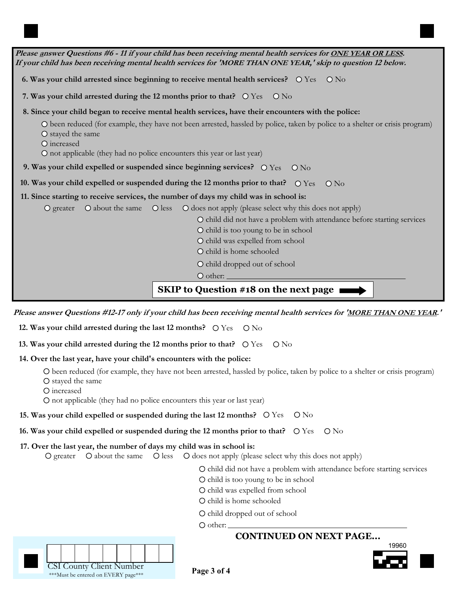| Please answer Questions #6 - 11 if your child has been receiving mental health services for ONE YEAR OR LESS.<br>If your child has been receiving mental health services for 'MORE THAN ONE YEAR,' skip to question 12 below.                                                                                                          |  |  |  |  |  |
|----------------------------------------------------------------------------------------------------------------------------------------------------------------------------------------------------------------------------------------------------------------------------------------------------------------------------------------|--|--|--|--|--|
| 6. Was your child arrested since beginning to receive mental health services? O Yes O No                                                                                                                                                                                                                                               |  |  |  |  |  |
| 7. Was your child arrested during the 12 months prior to that? $\circ$ Yes $\circ$ No                                                                                                                                                                                                                                                  |  |  |  |  |  |
| 8. Since your child began to receive mental health services, have their encounters with the police:                                                                                                                                                                                                                                    |  |  |  |  |  |
| O been reduced (for example, they have not been arrested, hassled by police, taken by police to a shelter or crisis program)<br>O stayed the same<br>O increased<br>O not applicable (they had no police encounters this year or last year)                                                                                            |  |  |  |  |  |
| 9. Was your child expelled or suspended since beginning services? $\overline{O}$ Yes $\overline{O}$ No                                                                                                                                                                                                                                 |  |  |  |  |  |
| 10. Was your child expelled or suspended during the 12 months prior to that? $\circ$ $\circ$ Yes<br>$\overline{O}$ No                                                                                                                                                                                                                  |  |  |  |  |  |
| 11. Since starting to receive services, the number of days my child was in school is:                                                                                                                                                                                                                                                  |  |  |  |  |  |
| O about the same O less O does not apply (please select why this does not apply)<br>$\bigcirc$ greater<br>O child did not have a problem with attendance before starting services<br>O child is too young to be in school<br>O child was expelled from school<br>O child is home schooled<br>O child dropped out of school<br>O other: |  |  |  |  |  |
| <b>SKIP</b> to Question #18 on the next page                                                                                                                                                                                                                                                                                           |  |  |  |  |  |

**Please answer Questions #12-17 only if your child has been receiving mental health services for 'MORE THAN ONE YEAR.'**

**12. Was your child arrested during the last 12 months?**  $\bigcirc$  Yes  $\bigcirc$  No

**13. Was your child arrested during the 12 months prior to that?** O Yes O No

#### **14. Over the last year, have your child's encounters with the police:**

been reduced (for example, they have not been arrested, hassled by police, taken by police to a shelter or crisis program)

O stayed the same

O increased

not applicable (they had no police encounters this year or last year)

**15. Was your child expelled or suspended during the last 12 months?** O Yes O No

**16. Was your child expelled or suspended during the 12 months prior to that?** O Yes O No

### **17. Over the last year, the number of days my child was in school is:**

 $\bigcirc$  greater  $\bigcirc$  about the same  $\bigcirc$  does  $\bigcirc$  does not apply (please select why this does not apply)

O child did not have a problem with attendance before starting services

- O child is too young to be in school
- O child was expelled from school
- O child is home schooled
- O child dropped out of school

 $\circ$  other:



## **CONTINUED ON NEXT PAGE...**



**Page 3 of 4**